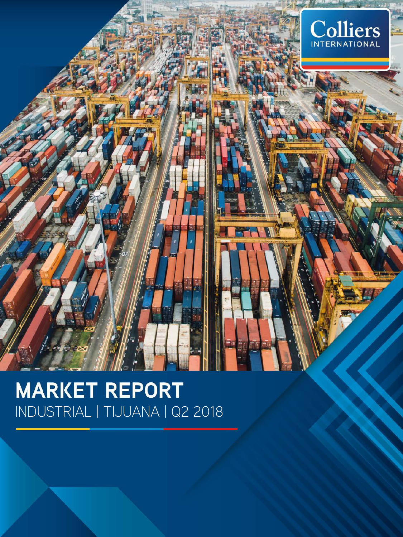

## **MARKET REPORT** INDUSTRIAL | TIJUANA | Q2 2018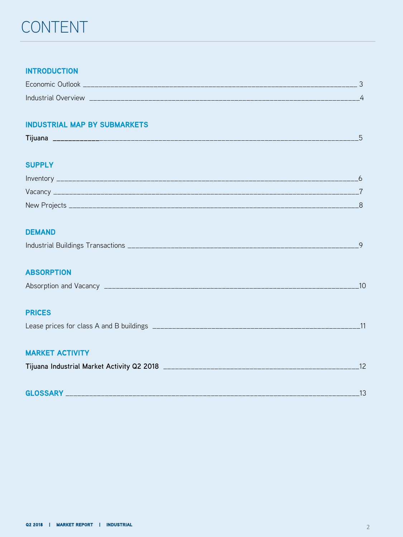### CONTENT

### **INTRODUCTION**

| $\overline{\phantom{0}}$<br>Economic /<br><b>Outlook</b>                 |  |
|--------------------------------------------------------------------------|--|
| <b>Industrial</b><br><i><b>NALVIAW</b></i><br>$\sim$ 1 $\sim$ 7 $\prime$ |  |

### **INDUSTRIAL MAP BY SUBMARKETS**

| $- \cdot$<br>,,,,,,,, |  |
|-----------------------|--|
|                       |  |

#### **SUPPLY**

| Inventory        |  |
|------------------|--|
| Vacancy          |  |
| New Projects ___ |  |

### **DEMAND**

| Industrial Buildings<br>es transactions in<br>___ |
|---------------------------------------------------|
|---------------------------------------------------|

### **ABSORPTION**

| Absorption and Vacancy |  |
|------------------------|--|
|                        |  |

#### **PRICES**

|  | Lease prices for class A and B buildings |  |
|--|------------------------------------------|--|
|  |                                          |  |

### **MARKET ACTIVITY**

| Tijuana Industrial Market Activity Q2 2018 |  |  |
|--------------------------------------------|--|--|
|--------------------------------------------|--|--|

| <b>GLOSSARY</b> |  |
|-----------------|--|
|-----------------|--|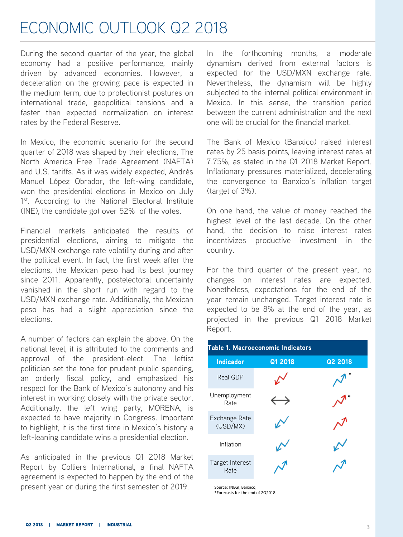### ECONOMIC OUTLOOK Q2 2018

During the second quarter of the year, the global economy had a positive performance, mainly driven by advanced economies. However, a deceleration on the growing pace is expected in the medium term, due to protectionist postures on international trade, geopolitical tensions and a faster than expected normalization on interest rates by the Federal Reserve.

In Mexico, the economic scenario for the second quarter of 2018 was shaped by their elections, The North America Free Trade Agreement (NAFTA) and U.S. tariffs. As it was widely expected, Andrés Manuel López Obrador, the left-wing candidate, won the presidential elections in Mexico on July 1<sup>st</sup>. According to the National Electoral Institute (INE), the candidate got over 52% of the votes.

Financial markets anticipated the results of presidential elections, aiming to mitigate the USD/MXN exchange rate volatility during and after the political event. In fact, the first week after the elections, the Mexican peso had its best journey since 2011. Apparently, postelectoral uncertainty vanished in the short run with regard to the USD/MXN exchange rate. Additionally, the Mexican peso has had a slight appreciation since the elections.

A number of factors can explain the above. On the national level, it is attributed to the comments and approval of the president-elect. The leftist politician set the tone for prudent public spending, an orderly fiscal policy, and emphasized his respect for the Bank of Mexico's autonomy and his interest in working closely with the private sector. Additionally, the left wing party, MORENA, is expected to have majority in Congress. Important to highlight, it is the first time in Mexico's history a left-leaning candidate wins a presidential election.

As anticipated in the previous Q1 2018 Market Report by Colliers International, a final NAFTA agreement is expected to happen by the end of the present year or during the first semester of 2019.

In the forthcoming months, a moderate dynamism derived from external factors is expected for the USD/MXN exchange rate. Nevertheless, the dynamism will be highly subjected to the internal political environment in Mexico. In this sense, the transition period between the current administration and the next one will be crucial for the financial market.

The Bank of Mexico (Banxico) raised interest rates by 25 basis points, leaving interest rates at 7.75%, as stated in the Q1 2018 Market Report. Inflationary pressures materialized, decelerating the convergence to Banxico's inflation target (target of 3%).

On one hand, the value of money reached the highest level of the last decade. On the other hand, the decision to raise interest rates incentivizes productive investment in the country.

For the third quarter of the present year, no changes on interest rates are expected. Nonetheless, expectations for the end of the year remain unchanged. Target interest rate is expected to be 8% at the end of the year, as projected in the previous Q1 2018 Market Report.

| Table 1. Macroeconomic Indicators |                   |         |  |  |  |  |  |
|-----------------------------------|-------------------|---------|--|--|--|--|--|
| <b>Indicador</b>                  | Q1 2018           | Q2 2018 |  |  |  |  |  |
| Real GDP                          |                   |         |  |  |  |  |  |
| Unemployment<br>Rate              | $\hookrightarrow$ |         |  |  |  |  |  |
| Exchange Rate<br>(USD/MX)         |                   |         |  |  |  |  |  |
| Inflation                         |                   |         |  |  |  |  |  |
| Target Interest<br>Rate           |                   |         |  |  |  |  |  |

Source: INEGI, Banxico, \*Forecasts for the end of 2Q2018..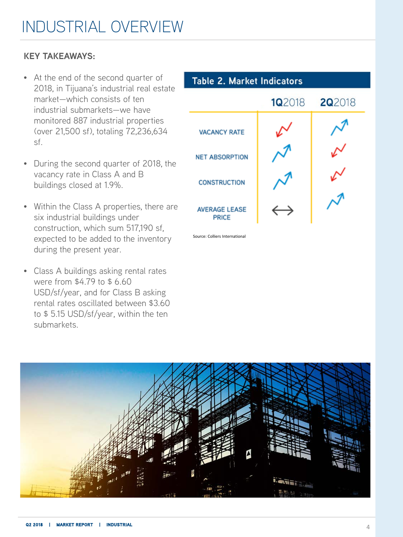### INDUSTRIAL OVERVIEW

### **KEY TAKEAWAYS:**

- At the end of the second quarter of 2018, in Tijuana's industrial real estate market—which consists of ten industrial submarkets—we have monitored 887 industrial properties (over 21,500 sf), totaling 72,236,634 sf.
- During the second quarter of 2018, the vacancy rate in Class A and B buildings closed at 1.9%.
- Within the Class A properties, there are six industrial buildings under construction, which sum 517,190 sf, expected to be added to the inventory during the present year.
- Class A buildings asking rental rates were from \$4.79 to \$ 6.60 USD/sf/year, and for Class B asking rental rates oscillated between \$3.60 to \$ 5.15 USD/sf/year, within the ten submarkets.



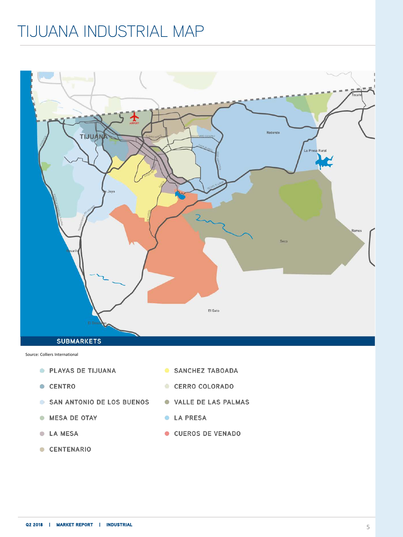### TIJUANA INDUSTRIAL MAP



Source: Colliers International

- PLAYAS DE TIJUANA
- CENTRO
- SAN ANTONIO DE LOS BUENOS
- **MESA DE OTAY**
- **C** LA MESA
- CENTENARIO
- SANCHEZ TABOADA
- CERRO COLORADO
- VALLE DE LAS PALMAS
- **C** LA PRESA
- CUEROS DE VENADO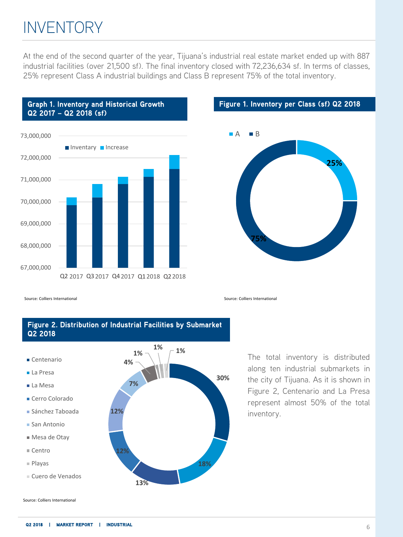### INVENTORY

At the end of the second quarter of the year, Tijuana's industrial real estate market ended up with 887 industrial facilities (over 21,500 sf). The final inventory closed with 72,236,634 sf. In terms of classes, 25% represent Class A industrial buildings and Class B represent 75% of the total inventory.



#### **Figure 1. Inventory per Class (sf) Q2 2018**



Source: Colliers International Source: Colliers International

#### **Figure 2. Distribution of Industrial Facilities by Submarket Q2 2018**

- Centenario
- La Presa
- La Mesa
- Cerro Colorado
- Sánchez Taboada
- San Antonio
- Mesa de Otay
- Centro
- Playas
- Cuero de Venados



The total inventory is distributed along ten industrial submarkets in the city of Tijuana. As it is shown in Figure 2, Centenario and La Presa represent almost 50% of the total inventory.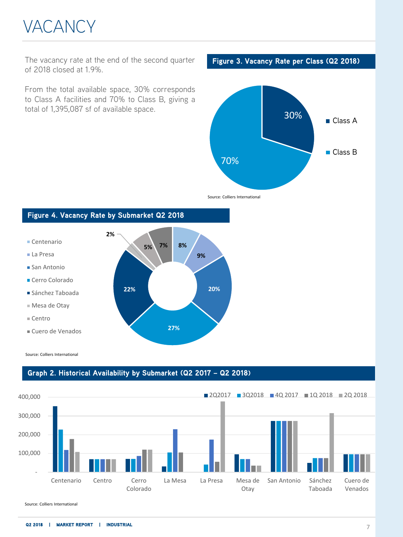## VACANCY

The vacancy rate at the end of the second quarter **Figure 3. Vacancy Rate per Class (Q2 2018)** of 2018 closed at 1.9%.

From the total available space, 30% corresponds to Class A facilities and 70% to Class B, giving a total of 1,395,087 sf of available space.



Source: Colliers International

#### **Figure 4. Vacancy Rate by Submarket Q2 2018 8% 9% 20% 27% 22% 2% 5% 7%** Centenario ■ La Presa ■ San Antonio Cerro Colorado Sánchez Taboada Mesa de Otay Centro Cuero de Venados

Source: Colliers International

#### **Graph 2. Historical Availability by Submarket (Q2 2017 – Q2 2018)**

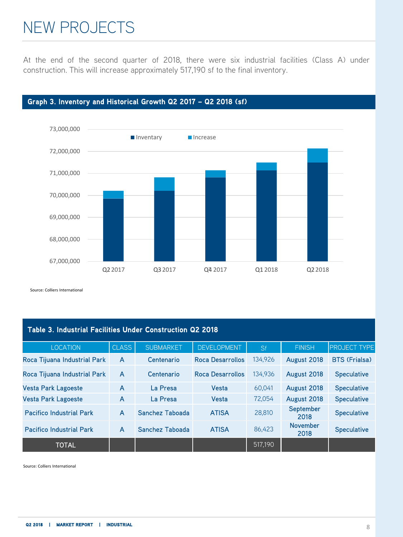### NEW PROJECTS

At the end of the second quarter of 2018, there were six industrial facilities (Class A) under construction. This will increase approximately 517,190 sf to the final inventory.





Source: Colliers International

| Table 3. Industrial Facilities Under Construction Q2 2018 |                |                  |                         |         |                         |                      |  |  |  |
|-----------------------------------------------------------|----------------|------------------|-------------------------|---------|-------------------------|----------------------|--|--|--|
| <b>LOCATION</b>                                           | <b>CLASS</b>   | <b>SUBMARKET</b> | <b>DEVELOPMENT</b>      | Sf      | <b>FINISH</b>           | <b>PROJECT TYPE</b>  |  |  |  |
| Roca Tijuana Industrial Park                              | A              | Centenario       | <b>Roca Desarrollos</b> | 134.926 | August 2018             | <b>BTS (Frialsa)</b> |  |  |  |
| Roca Tijuana Industrial Park                              | $\overline{A}$ | Centenario       | Roca Desarrollos        | 134.936 | August 2018             | <b>Speculative</b>   |  |  |  |
| <b>Vesta Park Lagoeste</b>                                | $\overline{A}$ | La Presa         | Vesta                   | 60.041  | August 2018             | <b>Speculative</b>   |  |  |  |
| <b>Vesta Park Lagoeste</b>                                | A              | La Presa         | Vesta                   | 72,054  | August 2018             | <b>Speculative</b>   |  |  |  |
| <b>Pacifico Industrial Park</b>                           | A              | Sanchez Taboada  | <b>ATISA</b>            | 28.810  | September<br>2018       | <b>Speculative</b>   |  |  |  |
| <b>Pacifico Industrial Park</b>                           | A              | Sanchez Taboada  | <b>ATISA</b>            | 86,423  | <b>November</b><br>2018 | <b>Speculative</b>   |  |  |  |
| <b>TOTAL</b>                                              |                |                  |                         | 517,190 |                         |                      |  |  |  |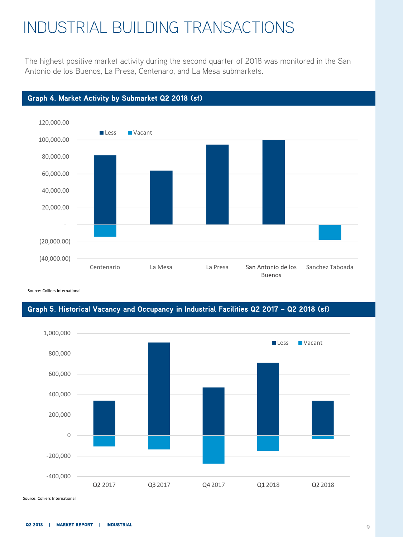### INDUSTRIAL BUILDING TRANSACTIONS

The highest positive market activity during the second quarter of 2018 was monitored in the San Antonio de los Buenos, La Presa, Centenaro, and La Mesa submarkets.



#### **Graph 4. Market Activity by Submarket Q2 2018 (sf)**

Source: Colliers International

### **Graph 5. Historical Vacancy and Occupancy in Industrial Facilities Q2 2017 – Q2 2018 (sf)**

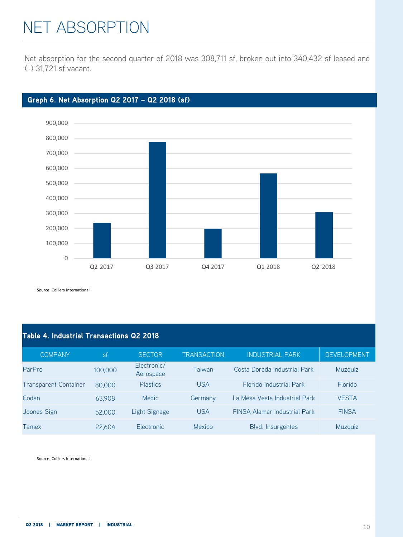### NET ABSORPTION

Net absorption for the second quarter of 2018 was 308,711 sf, broken out into 340,432 sf leased and (-) 31,721 sf vacant.



### **Graph 6. Net Absorption Q2 2017 – Q2 2018 (sf)**

Source: Colliers International

### **Table 4. Industrial Transactions Q2 2018**

| <b>COMPANY</b>               | <b>sf</b> | <b>SECTOR</b>            | <b>TRANSACTION</b> | <b>INDUSTRIAL PARK</b>              | <b>DEVELOPMENT</b> |
|------------------------------|-----------|--------------------------|--------------------|-------------------------------------|--------------------|
| ParPro                       | 100,000   | Electronic/<br>Aerospace | Taiwan             | Costa Dorada Industrial Park        | Muzquiz            |
| <b>Transparent Container</b> | 80,000    | <b>Plastics</b>          | <b>USA</b>         | <b>Florido Industrial Park</b>      | <b>Florido</b>     |
| Codan                        | 63.908    | <b>Medic</b>             | Germany            | La Mesa Vesta Industrial Park       | <b>VESTA</b>       |
| Joones Sign                  | 52,000    | Light Signage            | <b>USA</b>         | <b>FINSA Alamar Industrial Park</b> | <b>FINSA</b>       |
| Tamex                        | 22.604    | Electronic               | Mexico             | Blvd. Insurgentes                   | Muzquiz            |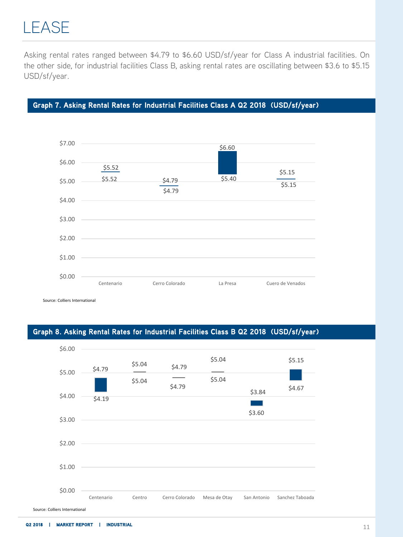Asking rental rates ranged between \$4.79 to \$6.60 USD/sf/year for Class A industrial facilities. On the other side, for industrial facilities Class B, asking rental rates are oscillating between \$3.6 to \$5.15 USD/sf/year.

### **Graph 7. Asking Rental Rates for Industrial Facilities Class A Q2 2018 (USD/sf/year)**



Source: Colliers International

### **Graph 8. Asking Rental Rates for Industrial Facilities Class B Q2 2018 (USD/sf/year)**

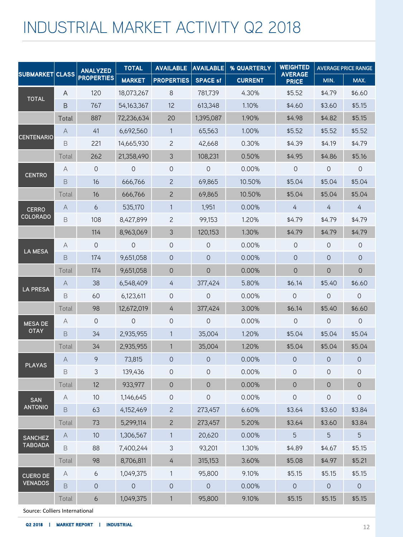### INDUSTRIAL MARKET ACTIVITY Q2 2018

|                   | <b>SUBMARKET CLASS</b>    | <b>ANALYZED</b>     | <b>TOTAL</b>   | <b>AVAILABLE</b>    | <b>AVAILABLE</b> | % QUARTERLY    | <b>WEIGHTED</b>                | <b>AVERAGE PRICE RANGE</b> |                     |
|-------------------|---------------------------|---------------------|----------------|---------------------|------------------|----------------|--------------------------------|----------------------------|---------------------|
|                   |                           | <b>PROPERTIES</b>   | <b>MARKET</b>  | <b>PROPERTIES</b>   | <b>SPACE sf</b>  | <b>CURRENT</b> | <b>AVERAGE</b><br><b>PRICE</b> | MIN.                       | MAX.                |
| <b>TOTAL</b>      | A                         | 120                 | 18,073,267     | 8                   | 781,739          | 4.30%          | \$5.52                         | \$4.79                     | \$6.60              |
|                   | B                         | 767                 | 54,163,367     | 12                  | 613,348          | 1.10%          | \$4.60                         | \$3.60                     | \$5.15              |
|                   | Total                     | 887                 | 72,236,634     | 20                  | 1,395,087        | 1.90%          | \$4.98                         | \$4.82                     | \$5.15              |
| <b>CENTENARIO</b> | $\forall$                 | 41                  | 6,692,560      | $\mathbf{1}$        | 65,563           | 1.00%          | \$5.52                         | \$5.52                     | \$5.52              |
|                   | B                         | 221                 | 14,665,930     | $\mathbf{2}$        | 42,668           | 0.30%          | \$4.39                         | \$4.19                     | \$4.79              |
|                   | Total                     | 262                 | 21,358,490     | $\mathfrak{Z}$      | 108,231          | 0.50%          | \$4.95                         | \$4.86                     | \$5.16              |
|                   | A                         | $\mathsf{O}\xspace$ | 0              | 0                   | 0                | 0.00%          | $\overline{O}$                 | $\circ$                    | $\mathsf{O}$        |
| <b>CENTRO</b>     | B                         | 16                  | 666,766        | $\overline{c}$      | 69,865           | 10.50%         | \$5.04                         | \$5.04                     | \$5.04              |
|                   | Total                     | 16                  | 666,766        | $\mathbf{2}$        | 69,865           | 10.50%         | \$5.04                         | \$5.04                     | \$5.04              |
| <b>CERRO</b>      | $\overline{A}$            | 6                   | 535,170        | $\mathbf{1}$        | 1,951            | 0.00%          | 4                              | $\overline{4}$             | $\overline{4}$      |
| <b>COLORADO</b>   | $\mathsf B$               | 108                 | 8,427,899      | $\overline{c}$      | 99,153           | 1.20%          | \$4.79                         | \$4.79                     | \$4.79              |
|                   |                           | 114                 | 8,963,069      | 3                   | 120,153          | 1.30%          | \$4.79                         | \$4.79                     | \$4.79              |
|                   | A                         | $\circ$             | $\Omega$       | $\mathsf O$         | 0                | 0.00%          | $\mathsf{O}$                   | $\circ$                    | $\mathbf 0$         |
| <b>LA MESA</b>    | B                         | 174                 | 9,651,058      | $\mathsf{O}$        | 0                | 0.00%          | $\mathsf{O}$                   | $\overline{O}$             | $\overline{0}$      |
|                   | Total                     | 174                 | 9,651,058      | $\mathsf{O}$        | $\overline{O}$   | 0.00%          | $\overline{0}$                 | $\overline{0}$             | $\overline{0}$      |
| <b>LA PRESA</b>   | $\forall$                 | 38                  | 6,548,409      | $\overline{4}$      | 377,424          | 5.80%          | \$6.14                         | \$5.40                     | \$6.60              |
|                   | B                         | 60                  | 6,123,611      | $\mathsf{O}\xspace$ | $\overline{O}$   | 0.00%          | $\overline{O}$                 | $\overline{O}$             | $\mathsf{O}$        |
|                   | Total                     | 98                  | 12,672,019     | $\overline{4}$      | 377,424          | 3.00%          | \$6.14                         | \$5.40                     | \$6.60              |
| <b>MESA DE</b>    | A                         | 0                   | $\overline{O}$ | 0                   | $\overline{O}$   | 0.00%          | $\overline{O}$                 | $\overline{O}$             | $\overline{O}$      |
| <b>OTAY</b>       | B                         | 34                  | 2,935,955      | $\mathbf{1}$        | 35,004           | 1.20%          | \$5.04                         | \$5.04                     | \$5.04              |
|                   | Total                     | 34                  | 2,935,955      | $\mathbf{1}$        | 35,004           | 1.20%          | \$5.04                         | \$5.04                     | \$5.04              |
|                   | $\overline{A}$            | 9                   | 73,815         | $\mathsf{O}$        | $\mathbf 0$      | 0.00%          | $\overline{O}$                 | $\overline{O}$             | $\mathsf{O}$        |
| <b>PLAYAS</b>     | $\mathsf B$               | $\mathfrak{Z}$      | 139,436        | 0                   | 0                | 0.00%          | 0                              | $\mathsf{O}$               | $\mathsf{O}\xspace$ |
|                   | Total                     | 12                  | 933.977        | $\mathsf{O}$        | 0                | 0.00%          | $\mathsf{O}$                   | $\overline{0}$             | 0                   |
| SAN               | A                         | 10                  | 1,146,645      | 0                   | 0                | 0.00%          | 0                              | 0                          | 0                   |
| <b>ANTONIO</b>    | $\mathsf B$               | 63                  | 4,152,469      | $\overline{c}$      | 273,457          | 6.60%          | \$3.64                         | \$3.60                     | \$3.84              |
|                   | Total                     | 73                  | 5,299,114      | $\mathbf{2}$        | 273,457          | 5.20%          | \$3.64                         | \$3.60                     | \$3.84              |
| <b>SANCHEZ</b>    | $\forall$                 | 10                  | 1,306,567      | $\mathbf{1}$        | 20,620           | 0.00%          | 5                              | 5                          | 5                   |
| <b>TABOADA</b>    | $\mathsf B$               | 88                  | 7,400,244      | $\mathsf 3$         | 93,201           | 1.30%          | \$4.89                         | \$4.67                     | \$5.15              |
|                   | Total                     | 98                  | 8,706,811      | $\overline{4}$      | 315,153          | 3.60%          | \$5.08                         | \$4.97                     | \$5.21              |
| <b>CUERO DE</b>   | $\boldsymbol{\mathsf{A}}$ | $\boldsymbol{6}$    | 1,049,375      | 1                   | 95,800           | 9.10%          | \$5.15                         | \$5.15                     | \$5.15              |
| <b>VENADOS</b>    | $\mathsf B$               | $\mathsf{O}$        | $\mathsf O$    | $\mathsf O$         | 0                | 0.00%          | $\mathsf{O}\xspace$            | $\mathsf O$                | $\mathsf O$         |
|                   | Total                     | $\boldsymbol{6}$    | 1,049,375      | $\mathbf{1}$        | 95,800           | 9.10%          | \$5.15                         | \$5.15                     | \$5.15              |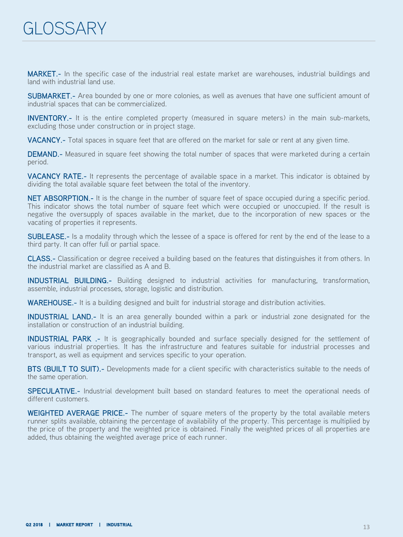MARKET.- In the specific case of the industrial real estate market are warehouses, industrial buildings and land with industrial land use.

SUBMARKET.- Area bounded by one or more colonies, as well as avenues that have one sufficient amount of industrial spaces that can be commercialized.

**INVENTORY.-** It is the entire completed property (measured in square meters) in the main sub-markets, excluding those under construction or in project stage.

VACANCY.- Total spaces in square feet that are offered on the market for sale or rent at any given time.

**DEMAND.**- Measured in square feet showing the total number of spaces that were marketed during a certain period.

VACANCY RATE.- It represents the percentage of available space in a market. This indicator is obtained by dividing the total available square feet between the total of the inventory.

NET ABSORPTION.- It is the change in the number of square feet of space occupied during a specific period. This indicator shows the total number of square feet which were occupied or unoccupied. If the result is negative the oversupply of spaces available in the market, due to the incorporation of new spaces or the vacating of properties it represents.

SUBLEASE.- Is a modality through which the lessee of a space is offered for rent by the end of the lease to a third party. It can offer full or partial space.

CLASS.- Classification or degree received a building based on the features that distinguishes it from others. In the industrial market are classified as A and B.

INDUSTRIAL BUILDING.- Building designed to industrial activities for manufacturing, transformation, assemble, industrial processes, storage, logistic and distribution.

WAREHOUSE.- It is a building designed and built for industrial storage and distribution activities.

INDUSTRIAL LAND.- It is an area generally bounded within a park or industrial zone designated for the installation or construction of an industrial building.

INDUSTRIAL PARK .- It is geographically bounded and surface specially designed for the settlement of various industrial properties. It has the infrastructure and features suitable for industrial processes and transport, as well as equipment and services specific to your operation.

BTS (BUILT TO SUIT).- Developments made for a client specific with characteristics suitable to the needs of the same operation.

SPECULATIVE.- Industrial development built based on standard features to meet the operational needs of different customers.

WEIGHTED AVERAGE PRICE.- The number of square meters of the property by the total available meters runner splits available, obtaining the percentage of availability of the property. This percentage is multiplied by the price of the property and the weighted price is obtained. Finally the weighted prices of all properties are added, thus obtaining the weighted average price of each runner.